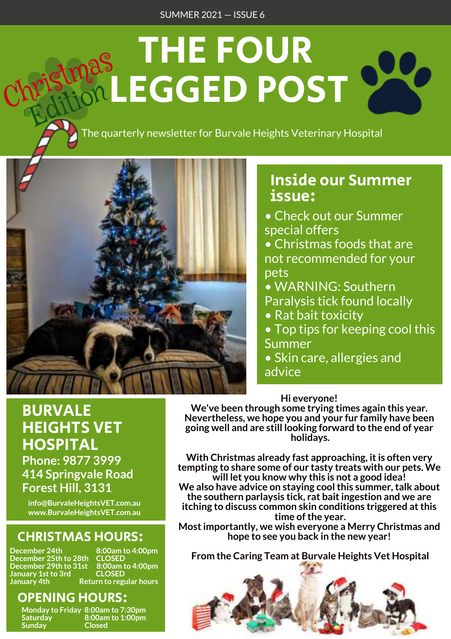# THE FOUR LEGGED POST Christmas **QL Lition**

The quarterly newsletter for Burvale Heights Veterinary Hospital



## Inside our Summer issue:

- Check out our Summer special offers
- Christmas foods that are not recommended for your pets
- WARNING: Southern Paralysis tick found locally
- Rat bait toxicity
- Top tips for keeping cool this Summer
- Skin care, allergies and advice

## Hi everyone!

We've been through some trying times again this year. Nevertheless, we hope you and your fur family have been going well and are still looking forward to the end of year holidays.

With Christmas already fast approaching, it is often very tempting to share some of our tasty treats with our pets. We will let you know why this is not a good idea! We also have advice on staying cool this summer, talk about the southern parlaysis tick, rat bait ingestion and we are itching to discuss common skin conditions triggered at this time of the year.

Most importantly, we wish everyone a Merry Christmas and hope to see you back in the new year!

From the Caring Team at Burvale Heights Vet Hospital



# BURVALE HEIGHTS VET **HOSPITAL**

Phone: 9877 3999 414 Springvale Road Forest Hill, 3131

info@BurvaleHeightsVET.com.au www.BurvaleHeightsVET.com.au

# CHRISTMAS HOURS:

December 24th 8:00am to 4:00pm<br>December 25th to 28th CLOSED December 25th to 28th CLOSED December 29th to 31st 8:00am to 4:00pm January 1st to 3rd CLOSED January 4th Return to regular hours

## OPENING HOURS:

Sunday Closed

Monday to Friday 8:00am to 7:30pm Saturday 8:00am to 1:00pm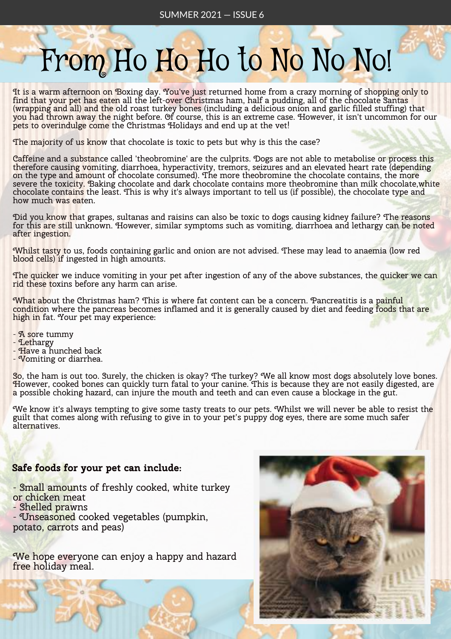# From Ho Ho Ho to No No No!

It is a warm afternoon on Boxing day. You've just returned home from a crazy morning of shopping only to  $\,$ find that your pet has eaten all the left-over Christmas ham, half a pudding, all of the chocolate Santas (wrapping and all) and the old roast turkey bones (including a delicious onion and garlic filled stuffing) that you had thrown away the night before. Of course, this is an extreme case. However, it isn't uncommon for our pets to overindulge come the Christmas Holidays and end up at the vet!

The majority of us know that chocolate is toxic to pets but why is this the case?

Caffeine and a substance called 'theobromine' are the culprits. Dogs are not able to metabolise or process this therefore causing vomiting, diarrhoea, hyperactivity, tremors, seizures and an elevated heart rate (depending on the type and amount of chocolate consumed). The more theobromine the chocolate contains, the more severe the toxicity. Baking chocolate and dark chocolate contains more theobromine than milk chocolate, white chocolate contains the least. This is why it's always important to tell us (if possible), the chocolate type and how much was eaten.

Did you know that grapes, sultanas and raisins can also be toxic to dogs causing kidney failure? The reasons for this are still unknown. However, similar symptoms such as vomiting, diarrhoea and lethargy can be noted after ingestion.

Whilst tasty to us, foods containing garlic and onion are not advised. These may lead to anaemia (low red blood cells) if ingested in high amounts.

The quicker we induce vomiting in your pet after ingestion of any of the above substances, the quicker we can rid these toxins before any harm can arise.

What about the Christmas ham? This is where fat content can be a concern. Pancreatitis is a painful condition where the pancreas becomes inflamed and it is generally caused by diet and feeding foods that are high in fat. Your pet may experience:

- A sore tummy

- Lethargy

- Have a hunched back

- Vomiting or diarrhea.

So, the ham is out too. Surely, the chicken is okay? The turkey? We all know most dogs absolutely love bones. However, cooked bones can quickly turn fatal to your canine. This is because they are not easily digested, are a possible choking hazard, can injure the mouth and teeth and can even cause a blockage in the gut.

We know it's always tempting to give some tasty treats to our pets. Whilst we will never be able to resist the guilt that comes along with refusing to give in to your pet's puppy dog eyes, there are some much safer alternatives.

#### Safe foods for your pet can include:

- Small amounts of freshly cooked, white turkey or chicken meat

- Shelled prawns

- Unseasoned cooked vegetables (pumpkin, potato, carrots and peas)

We hope everyone can enjoy a happy and hazard free holiday meal.

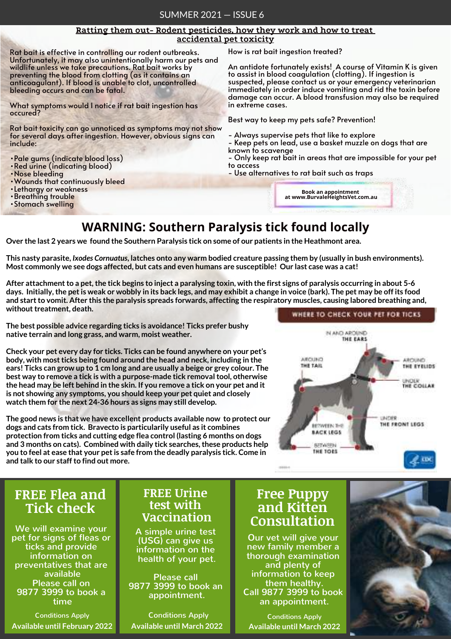#### Ratting them out- Rodent pesticides, how they work and how to treat accidental pet toxicity

Rat bait is effective in controlling our rodent outbreaks. Unfortunately, it may also unintentionally harm our pets and wildlife unless we take precautions. Rat bait works by preventing the blood from clotting (as it contains an anticoagulant). If blood is unable to clot, uncontrolled bleeding occurs and can be fatal.

What symptoms would I notice if rat bait ingestion has occured?

Rat bait toxicity can go unnoticed as symptoms may not show for several days after ingestion. However, obvious signs can include:

- •Pale gums (indicate blood loss)
- •Red urine (indicating blood)
- •Nose bleeding
- •Wounds that continuously bleed
- •Lethargy or weakness
- •Breathing trouble
- •Stomach swelling

How is rat bait ingestion treated?

An antidote fortunately exists! A course of Vitamin K is given to assist in blood coagulation (clotting). If ingestion is suspected, please contact us or your emergency veterinarian immediately in order induce vomiting and rid the toxin before damage can occur. A blood transfusion may also be required in extreme cases.

Best way to keep my pets safe? Prevention!

- Always supervise pets that like to explore
- Keep pets on lead, use a basket muzzle on dogs that are known to scavenge
- Only keep rat bait in areas that are impossible for your pet to access
- Use alternatives to rat bait such as traps

Book an appointment at www.BurvaleHeightsVet.com.au

## WARNING: Southern Paralysis tick found locally

Over the last 2 years we found the Southern Paralysis tick on some of our patients in the Heathmont area.

This nasty parasite, Ixodes Cornuatus, latches onto any warm bodied creature passing them by (usually in bush environments). Most commonly we see dogs affected, but cats and even humans are susceptible! Our last case was a cat!

After attachment to a pet, the tick begins to inject a paralysing toxin, with the first signs of paralysis occurring in about 5-6 days. Initially, the pet is weak or wobbly in its back legs, and may exhibit a change in voice (bark). The pet may be off its food and start to vomit. After this the paralysis spreads forwards, affecting the respiratory muscles, causing labored breathing and, without treatment, death.

The best possible advice regarding ticks is avoidance! Ticks prefer bushy native terrain and long grass, and warm, moist weather.

Check your pet every day for ticks. Ticks can be found anywhere on your pet's body, with most ticks being found around the head and neck, including in the ears! Ticks can grow up to 1 cm long and are usually a beige or grey colour. The best way to remove a tick is with a purpose-made tick removal tool, otherwise the head may be left behind in the skin. If you remove a tick on your pet and it is not showing any symptoms, you should keep your pet quiet and closely watch them for the next 24-36 hours as signs may still develop.

The good news is that we have excellent products available now to protect our dogs and cats from tick. Bravecto is particularily useful as it combines protection from ticks and cutting edge flea control (lasting 6 months on dogs and 3 months on cats). Combined with daily tick searches, these products help you to feel at ease that your pet is safe from the deadly paralysis tick. Come in and talk to our staff to find out more.



## FREE Flea and Tick check

 $\alpha$  call  $\alpha$ pet for signs of fleas or ticks and provide information on available Officase call OII<br>Dialogue July-1 9877 3999 to book a We will examine your preventatives that are Please call on time

Available until February 2022 Available until March 2022

### FREE Urine test with Vaccination

A simple urine test (USG) can give us information on the health of your pet.

Please call 9877 3999 to book an appointment.

**Conditions Apply** Conditions Apply **Conditions Apply** Conditions Apply **Conditions Apply** 

#### ....... Free Puppy and Kitten Consultation

........ new family member a and picticy of information to keep chem nealiny.<br>Call 9877 3999 to book an appointment. Our vet will give your thorough examination and plenty of them healthy.

Available until March 2022